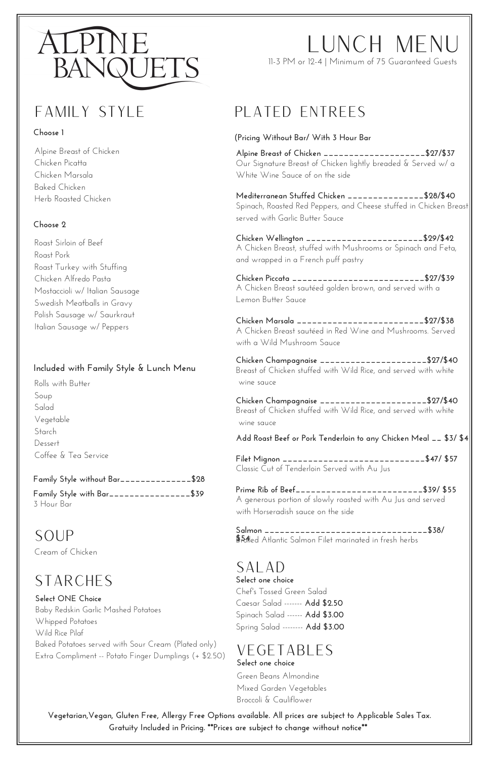# Lunch Menu



#### **Choose 1**

**(Pricing Without Bar/ With 3 Hour Bar**

11-3 PM or 12-4 | Minimum of 75 Guaranteed Guests

## FAMILY STYLE PLATED ENTREES

**Alpine Breast of Chicken \_\_\_\_\_\_\_\_\_\_\_\_\_\_\_\_\_\_\_\_\$27/\$37** Our Signature Breast of Chicken lightly breaded & Served w/ a White Wine Sauce of on the side

**Mediterranean Stuffed Chicken \_\_\_\_\_\_\_\_\_\_\_\_\_\_\_\$28/\$40** Spinach, Roasted Red Peppers, and Cheese stuffed in Chicken Breast served with Garlic Butter Sauce

**Chicken Wellington \_\_\_\_\_\_\_\_\_\_\_\_\_\_\_\_\_\_\_\_\_\_\_\$29/\$42** A Chicken Breast, stuffed with Mushrooms or Spinach and Feta, and wrapped in a French puff pastry

**Chicken Piccata \_\_\_\_\_\_\_\_\_\_\_\_\_\_\_\_\_\_\_\_\_\_\_\_\_\_\$27/\$39** A Chicken Breast sautéed golden brown, and served with a Lemon Butter Sauce

SALAD **Select one choice** Chef's Tossed Green Salad Caesar Salad ------- **Add \$2.50** Spinach Salad ------ **Add \$3.00** Spring Salad -------- **Add \$3.00**

**Chicken Marsala \_\_\_\_\_\_\_\_\_\_\_\_\_\_\_\_\_\_\_\_\_\_\_\_\_\$27/\$38** A Chicken Breast sautéed in Red Wine and Mushrooms. Served with a Wild Mushroom Sauce

**Chicken Champagnaise \_\_\_\_\_\_\_\_\_\_\_\_\_\_\_\_\_\_\_\_\_\$27/\$40** Breast of Chicken stuffed with Wild Rice, and served with white wine sauce

**Filet Mignon \_\_\_\_\_\_\_\_\_\_\_\_\_\_\_\_\_\_\_\_\_\_\_\_\_\_\_\_\$47/ \$57** Classic Cut of Tenderloin Served with Au Jus

Soup Cream of Chicken

**Prime Rib of Beef\_\_\_\_\_\_\_\_\_\_\_\_\_\_\_\_\_\_\_\_\_\_\_\_\_\$39/ \$55** A generous portion of slowly roasted with Au Jus and served with Horseradish sauce on the side

**Salmon \_\_\_\_\_\_\_\_\_\_\_\_\_\_\_\_\_\_\_\_\_\_\_\_\_\_\_\_\_\_\_\_\$38/ \$54**ed Atlantic Salmon Filet marinated in fresh herbs

### **STARCHES**

### Vegetables **Select one choice**

Green Beans Almondine Mixed Garden Vegetables Broccoli & Cauliflower

Alpine Breast of Chicken Chicken Picatta Chicken Marsala Baked Chicken Herb Roasted Chicken

#### **Choose 2**

Roast Sirloin of Beef Roast Pork Roast Turkey with Stuffing Chicken Alfredo Pasta Mostaccioli w/ Italian Sausage Swedish Meatballs in Gravy Polish Sausage w/ Saurkraut Italian Sausage w/ Peppers

#### **Included with Family Style & Lunch Menu**

Rolls with Butter Soup Salad Vegetable **Starch** Dessert Coffee & Tea Service

> **Vegetarian,Vegan, Gluten Free, Allergy Free Options available. All prices are subject to Applicable Sales Tax. Gratuity Included in Pricing. \*\*Prices are subject to change without notice\*\***

#### **Select ONE Choice**

Baby Redskin Garlic Mashed Potatoes Whipped Potatoes Wild Rice Pilaf Baked Potatoes served with Sour Cream (Plated only) Extra Compliment -- Potato Finger Dumplings (+ \$2.50)

|            | Family Style without Bar_____________\$28 |  |
|------------|-------------------------------------------|--|
|            | Family Style with Bar________________\$39 |  |
| 3 Hour Bar |                                           |  |

**Chicken Champagnaise \_\_\_\_\_\_\_\_\_\_\_\_\_\_\_\_\_\_\_\_\_\$27/\$40** Breast of Chicken stuffed with Wild Rice, and served with white wine sauce

**Add Roast Beef or Pork Tenderloin to any Chicken Meal \_\_ \$3/ \$4**